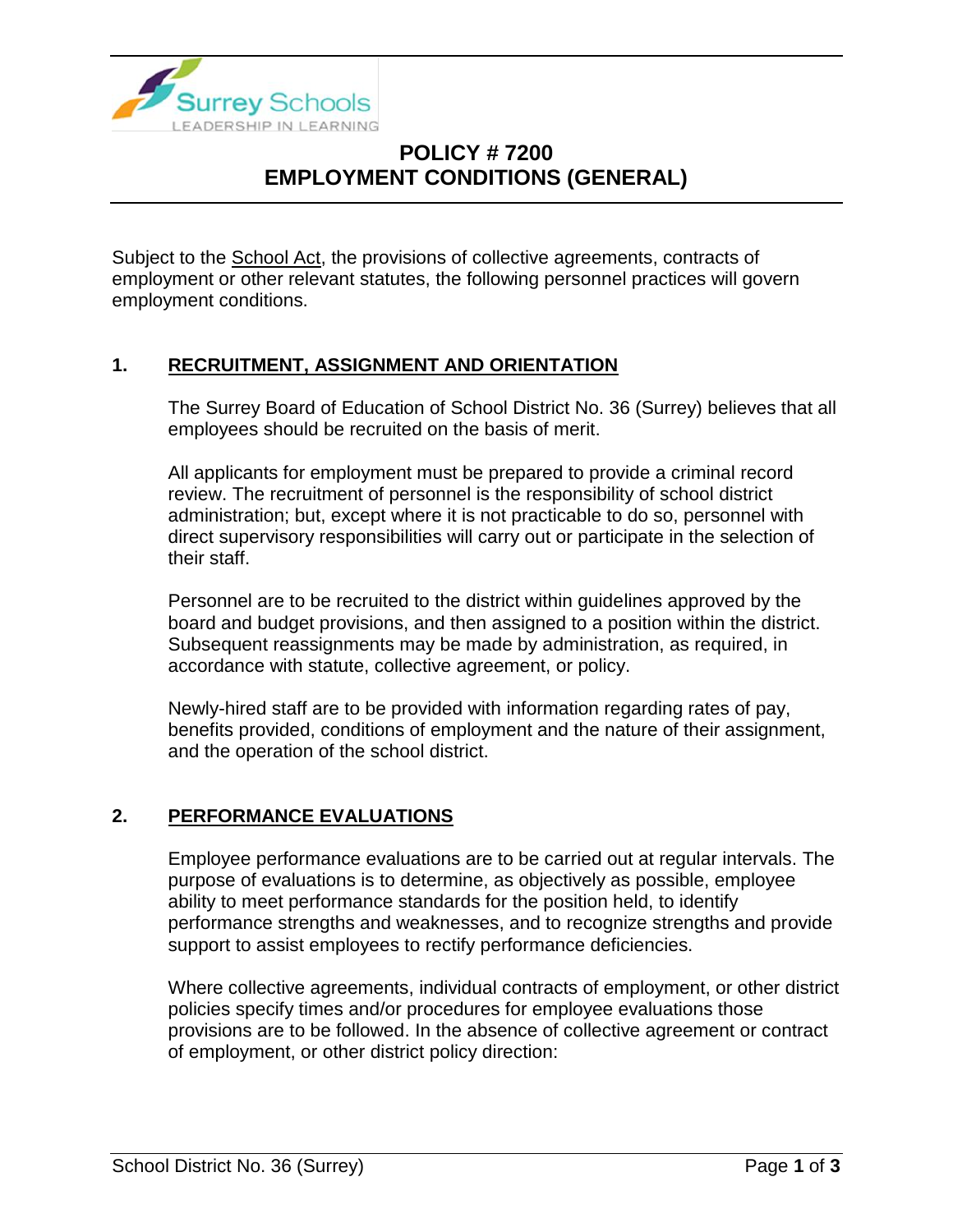

# **POLICY # 7200 EMPLOYMENT CONDITIONS (GENERAL)**

Subject to the School Act, the provisions of collective agreements, contracts of employment or other relevant statutes, the following personnel practices will govern employment conditions.

#### **1. RECRUITMENT, ASSIGNMENT AND ORIENTATION**

The Surrey Board of Education of School District No. 36 (Surrey) believes that all employees should be recruited on the basis of merit.

All applicants for employment must be prepared to provide a criminal record review. The recruitment of personnel is the responsibility of school district administration; but, except where it is not practicable to do so, personnel with direct supervisory responsibilities will carry out or participate in the selection of their staff.

Personnel are to be recruited to the district within guidelines approved by the board and budget provisions, and then assigned to a position within the district. Subsequent reassignments may be made by administration, as required, in accordance with statute, collective agreement, or policy.

Newly-hired staff are to be provided with information regarding rates of pay, benefits provided, conditions of employment and the nature of their assignment, and the operation of the school district.

### **2. PERFORMANCE EVALUATIONS**

Employee performance evaluations are to be carried out at regular intervals. The purpose of evaluations is to determine, as objectively as possible, employee ability to meet performance standards for the position held, to identify performance strengths and weaknesses, and to recognize strengths and provide support to assist employees to rectify performance deficiencies.

Where collective agreements, individual contracts of employment, or other district policies specify times and/or procedures for employee evaluations those provisions are to be followed. In the absence of collective agreement or contract of employment, or other district policy direction: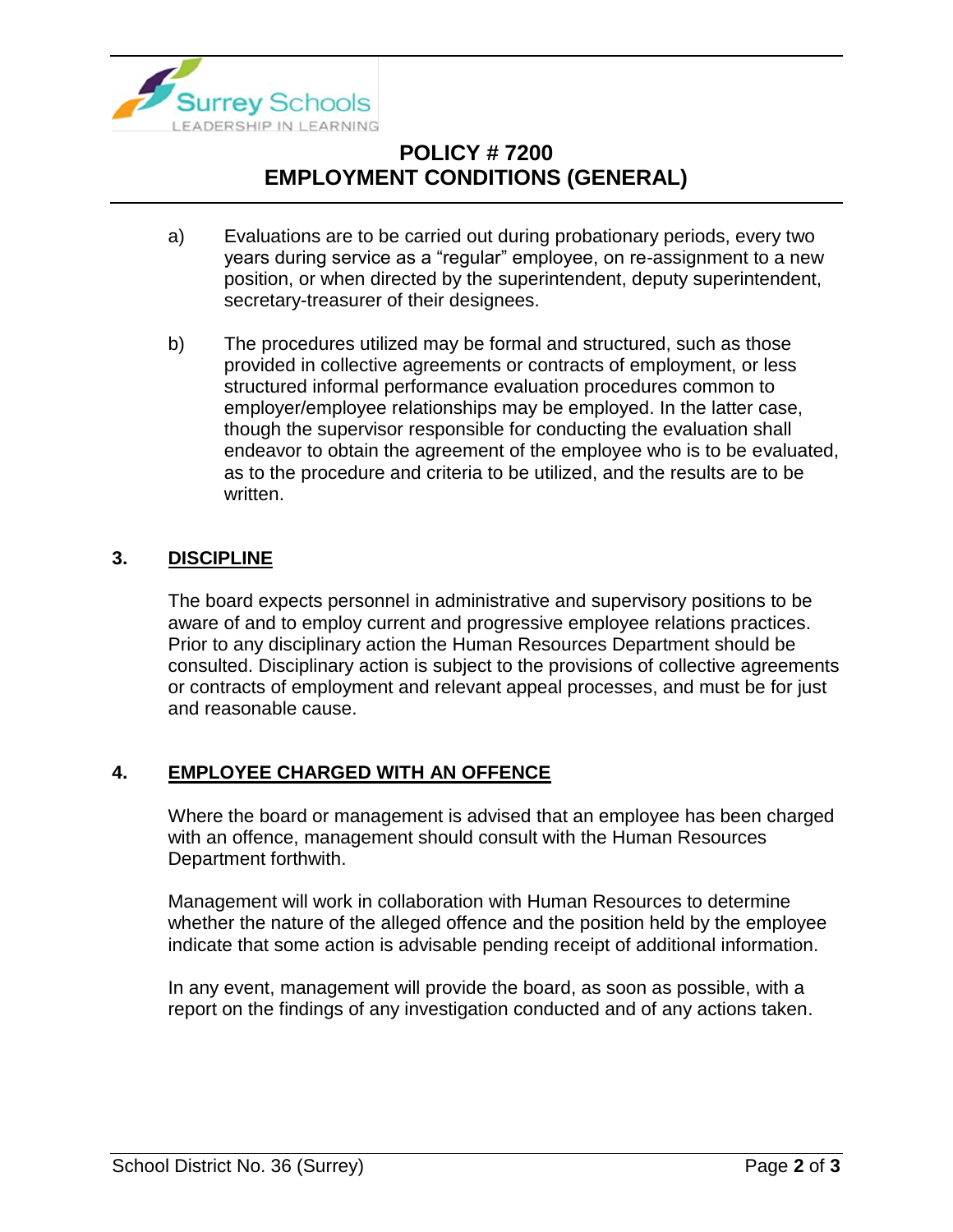

# **POLICY # 7200 EMPLOYMENT CONDITIONS (GENERAL)**

- a) Evaluations are to be carried out during probationary periods, every two years during service as a "regular" employee, on re-assignment to a new position, or when directed by the superintendent, deputy superintendent, secretary-treasurer of their designees.
- b) The procedures utilized may be formal and structured, such as those provided in collective agreements or contracts of employment, or less structured informal performance evaluation procedures common to employer/employee relationships may be employed. In the latter case, though the supervisor responsible for conducting the evaluation shall endeavor to obtain the agreement of the employee who is to be evaluated, as to the procedure and criteria to be utilized, and the results are to be written.

### **3. DISCIPLINE**

The board expects personnel in administrative and supervisory positions to be aware of and to employ current and progressive employee relations practices. Prior to any disciplinary action the Human Resources Department should be consulted. Disciplinary action is subject to the provisions of collective agreements or contracts of employment and relevant appeal processes, and must be for just and reasonable cause.

### **4. EMPLOYEE CHARGED WITH AN OFFENCE**

Where the board or management is advised that an employee has been charged with an offence, management should consult with the Human Resources Department forthwith.

Management will work in collaboration with Human Resources to determine whether the nature of the alleged offence and the position held by the employee indicate that some action is advisable pending receipt of additional information.

In any event, management will provide the board, as soon as possible, with a report on the findings of any investigation conducted and of any actions taken.